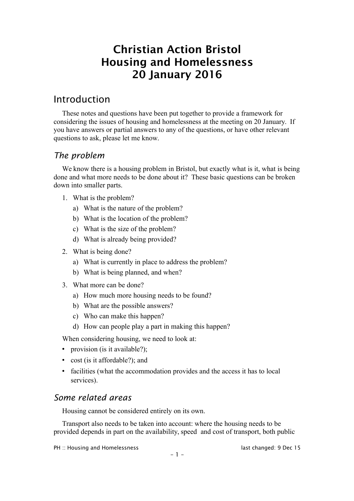# Christian Action Bristol Housing and Homelessness 20 January 2016

# Introduction

These notes and questions have been put together to provide a framework for considering the issues of housing and homelessness at the meeting on 20 January. If you have answers or partial answers to any of the questions, or have other relevant questions to ask, please let me know.

# *The problem*

We know there is a housing problem in Bristol, but exactly what is it, what is being done and what more needs to be done about it? These basic questions can be broken down into smaller parts.

- 1. What is the problem?
	- a) What is the nature of the problem?
	- b) What is the location of the problem?
	- c) What is the size of the problem?
	- d) What is already being provided?
- 2. What is being done?
	- a) What is currently in place to address the problem?
	- b) What is being planned, and when?
- 3. What more can be done?
	- a) How much more housing needs to be found?
	- b) What are the possible answers?
	- c) Who can make this happen?
	- d) How can people play a part in making this happen?

When considering housing, we need to look at:

- provision (is it available?);
- cost (is it affordable?); and
- facilities (what the accommodation provides and the access it has to local services).

# *Some related areas*

Housing cannot be considered entirely on its own.

Transport also needs to be taken into account: where the housing needs to be provided depends in part on the availability, speed and cost of transport, both public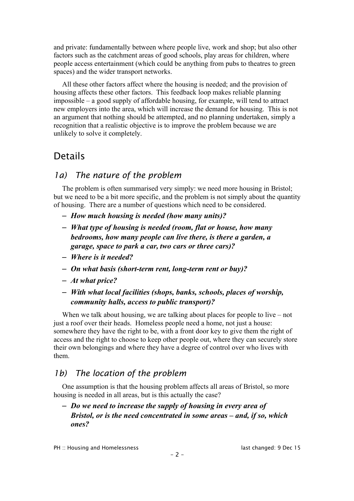and private: fundamentally between where people live, work and shop; but also other factors such as the catchment areas of good schools, play areas for children, where people access entertainment (which could be anything from pubs to theatres to green spaces) and the wider transport networks.

All these other factors affect where the housing is needed; and the provision of housing affects these other factors. This feedback loop makes reliable planning impossible – a good supply of affordable housing, for example, will tend to attract new employers into the area, which will increase the demand for housing. This is not an argument that nothing should be attempted, and no planning undertaken, simply a recognition that a realistic objective is to improve the problem because we are unlikely to solve it completely.

# Details

# *1a) The nature of the problem*

The problem is often summarised very simply: we need more housing in Bristol; but we need to be a bit more specific, and the problem is not simply about the quantity of housing. There are a number of questions which need to be considered.

- *How much housing is needed (how many units)?*
- *What type of housing is needed (room, flat or house, how many bedrooms, how many people can live there, is there a garden, a garage, space to park a car, two cars or three cars)?*
- *Where is it needed?*
- *On what basis (short-term rent, long-term rent or buy)?*
- *At what price?*
- *With what local facilities (shops, banks, schools, places of worship, community halls, access to public transport)?*

When we talk about housing, we are talking about places for people to live – not just a roof over their heads. Homeless people need a home, not just a house: somewhere they have the right to be, with a front door key to give them the right of access and the right to choose to keep other people out, where they can securely store their own belongings and where they have a degree of control over who lives with them.

# *1b) The location of the problem*

One assumption is that the housing problem affects all areas of Bristol, so more housing is needed in all areas, but is this actually the case?

### – *Do we need to increase the supply of housing in every area of Bristol, or is the need concentrated in some areas – and, if so, which ones?*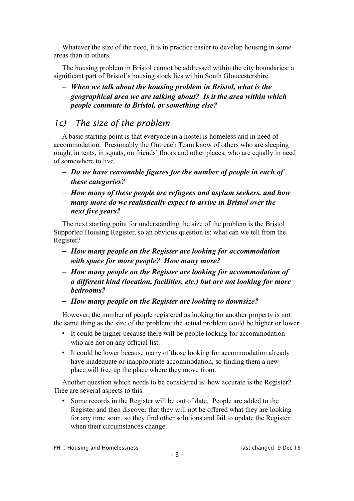Whatever the size of the need, it is in practice easier to develop housing in some areas than in others.

The housing problem in Bristol cannot be addressed within the city boundaries: a significant part of Bristol's housing stock lies within South Gloucestershire.

– *When we talk about the housing problem in Bristol, what is the geographical area we are talking about? Is it the area within which people commute to Bristol, or something else?*

# *1c) The size of the problem*

A basic starting point is that everyone in a hostel is homeless and in need of accommodation. Presumably the Outreach Team know of others who are sleeping rough, in tents, in squats, on friends' floors and other places, who are equally in need of somewhere to live.

- *Do we have reasonable figures for the number of people in each of these categories?*
- *How many of these people are refugees and asylum seekers, and how many more do we realistically expect to arrive in Bristol over the next five years?*

The next starting point for understanding the size of the problem is the Bristol Supported Housing Register, so an obvious question is: what can we tell from the Register?

- *How many people on the Register are looking for accommodation with space for more people? How many more?*
- *How many people on the Register are looking for accommodation of a different kind (location, facilities, etc.) but are not looking for more bedrooms?*
- *How many people on the Register are looking to downsize?*

However, the number of people registered as looking for another property is not the same thing as the size of the problem: the actual problem could be higher or lower.

- It could be higher because there will be people looking for accommodation who are not on any official list.
- It could be lower because many of those looking for accommodation already have inadequate or inappropriate accommodation, so finding them a new place will free up the place where they move from.

Another question which needs to be considered is: how accurate is the Register? Thee are several aspects to this.

• Some records in the Register will be out of date. People are added to the Register and then discover that they will not be offered what they are looking for any time soon, so they find other solutions and fail to update the Register when their circumstances change.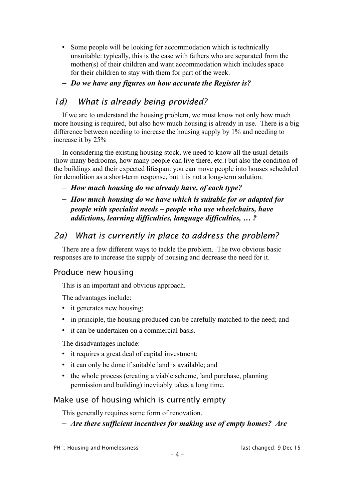- Some people will be looking for accommodation which is technically unsuitable: typically, this is the case with fathers who are separated from the mother(s) of their children and want accommodation which includes space for their children to stay with them for part of the week.
- *Do we have any figures on how accurate the Register is?*

# *1d) What is already being provided?*

If we are to understand the housing problem, we must know not only how much more housing is required, but also how much housing is already in use. There is a big difference between needing to increase the housing supply by 1% and needing to increase it by 25%

In considering the existing housing stock, we need to know all the usual details (how many bedrooms, how many people can live there, etc.) but also the condition of the buildings and their expected lifespan: you can move people into houses scheduled for demolition as a short-term response, but it is not a long-term solution.

– *How much housing do we already have, of each type?*

## – *How much housing do we have which is suitable for or adapted for people with specialist needs – people who use wheelchairs, have addictions, learning difficulties, language difficulties, … ?*

# *2a) What is currently in place to address the problem?*

There are a few different ways to tackle the problem. The two obvious basic responses are to increase the supply of housing and decrease the need for it.

## Produce new housing

This is an important and obvious approach.

The advantages include:

- it generates new housing;
- in principle, the housing produced can be carefully matched to the need; and
- it can be undertaken on a commercial basis.

The disadvantages include:

- it requires a great deal of capital investment;
- it can only be done if suitable land is available; and
- the whole process (creating a viable scheme, land purchase, planning permission and building) inevitably takes a long time.

## Make use of housing which is currently empty

This generally requires some form of renovation.

### – *Are there sufficient incentives for making use of empty homes? Are*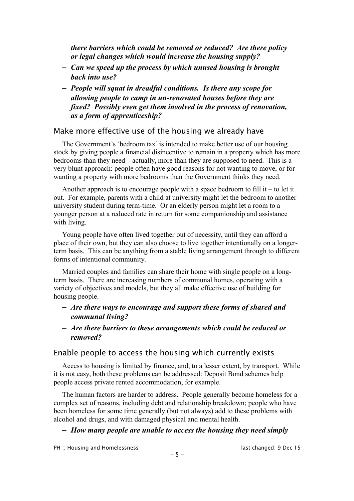*there barriers which could be removed or reduced? Are there policy or legal changes which would increase the housing supply?*

- *Can we speed up the process by which unused housing is brought back into use?*
- *People will squat in dreadful conditions. Is there any scope for allowing people to camp in un-renovated houses before they are fixed? Possibly even get them involved in the process of renovation, as a form of apprenticeship?*

#### Make more effective use of the housing we already have

The Government's 'bedroom tax' is intended to make better use of our housing stock by giving people a financial disincentive to remain in a property which has more bedrooms than they need – actually, more than they are supposed to need. This is a very blunt approach: people often have good reasons for not wanting to move, or for wanting a property with more bedrooms than the Government thinks they need.

Another approach is to encourage people with a space bedroom to fill it – to let it out. For example, parents with a child at university might let the bedroom to another university student during term-time. Or an elderly person might let a room to a younger person at a reduced rate in return for some companionship and assistance with living.

Young people have often lived together out of necessity, until they can afford a place of their own, but they can also choose to live together intentionally on a longerterm basis. This can be anything from a stable living arrangement through to different forms of intentional community.

Married couples and families can share their home with single people on a longterm basis. There are increasing numbers of communal homes, operating with a variety of objectives and models, but they all make effective use of building for housing people.

- *Are there ways to encourage and support these forms of shared and communal living?*
- *Are there barriers to these arrangements which could be reduced or removed?*

#### Enable people to access the housing which currently exists

Access to housing is limited by finance, and, to a lesser extent, by transport. While it is not easy, both these problems can be addressed: Deposit Bond schemes help people access private rented accommodation, for example.

The human factors are harder to address. People generally become homeless for a complex set of reasons, including debt and relationship breakdown; people who have been homeless for some time generally (but not always) add to these problems with alcohol and drugs, and with damaged physical and mental health.

#### – *How many people are unable to access the housing they need simply*

PH :: Housing and Homelessness last changed: 9 Dec 15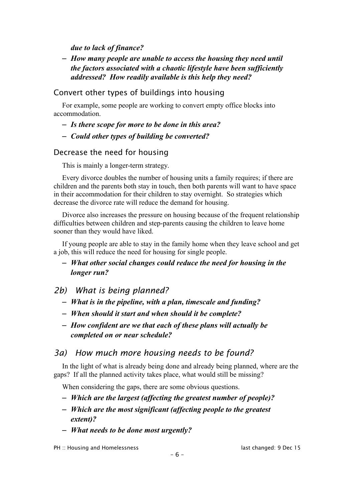*due to lack of finance?*

– *How many people are unable to access the housing they need until the factors associated with a chaotic lifestyle have been sufficiently addressed? How readily available is this help they need?*

### Convert other types of buildings into housing

For example, some people are working to convert empty office blocks into accommodation.

- *Is there scope for more to be done in this area?*
- *Could other types of building be converted?*

### Decrease the need for housing

This is mainly a longer-term strategy.

Every divorce doubles the number of housing units a family requires; if there are children and the parents both stay in touch, then both parents will want to have space in their accommodation for their children to stay overnight. So strategies which decrease the divorce rate will reduce the demand for housing.

Divorce also increases the pressure on housing because of the frequent relationship difficulties between children and step-parents causing the children to leave home sooner than they would have liked.

If young people are able to stay in the family home when they leave school and get a job, this will reduce the need for housing for single people.

– *What other social changes could reduce the need for housing in the longer run?*

*2b) What is being planned?*

- *What is in the pipeline, with a plan, timescale and funding?*
- *When should it start and when should it be complete?*
- *How confident are we that each of these plans will actually be completed on or near schedule?*

## *3a) How much more housing needs to be found?*

In the light of what is already being done and already being planned, where are the gaps? If all the planned activity takes place, what would still be missing?

When considering the gaps, there are some obvious questions.

- *Which are the largest (affecting the greatest number of people)?*
- *Which are the most significant (affecting people to the greatest extent)?*
- *What needs to be done most urgently?*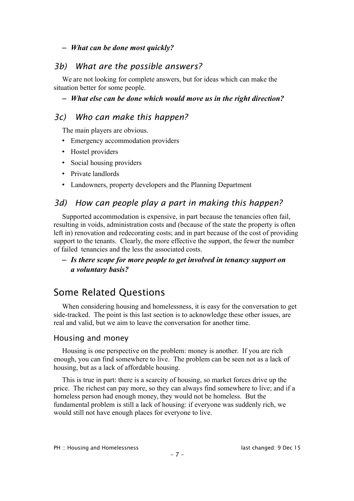#### – *What can be done most quickly?*

## *3b) What are the possible answers?*

We are not looking for complete answers, but for ideas which can make the situation better for some people.

– *What else can be done which would move us in the right direction?*

## *3c) Who can make this happen?*

The main players are obvious.

- Emergency accommodation providers
- Hostel providers
- Social housing providers
- Private landlords
- Landowners, property developers and the Planning Department

# *3d) How can people play a part in making this happen?*

Supported accommodation is expensive, in part because the tenancies often fail, resulting in voids, administration costs and (because of the state the property is often left in) renovation and redecorating costs; and in part because of the cost of providing support to the tenants. Clearly, the more effective the support, the fewer the number of failed tenancies and the less the associated costs.

### – *Is there scope for more people to get involved in tenancy support on a voluntary basis?*

# Some Related Questions

When considering housing and homelessness, it is easy for the conversation to get side-tracked. The point is this last section is to acknowledge these other issues, are real and valid, but we aim to leave the conversation for another time.

### Housing and money

Housing is one perspective on the problem: money is another. If you are rich enough, you can find somewhere to live. The problem can be seen not as a lack of housing, but as a lack of affordable housing.

This is true in part: there is a scarcity of housing, so market forces drive up the price. The richest can pay more, so they can always find somewhere to live; and if a homeless person had enough money, they would not be homeless. But the fundamental problem is still a lack of housing: if everyone was suddenly rich, we would still not have enough places for everyone to live.